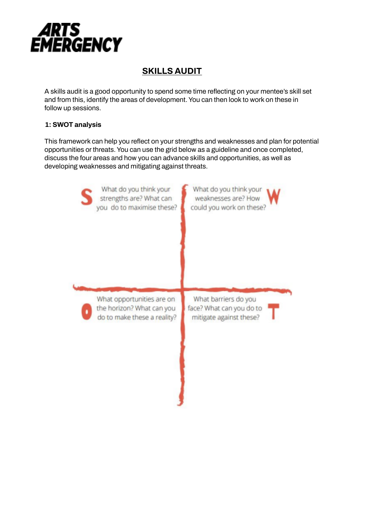

# **SKILLS AUDIT**

A skills audit is a good opportunity to spend some time reflecting on your mentee's skill set and from this, identify the areas of development. You can then look to work on these in follow up sessions.

### **1: SWOT analysis**

This framework can help you reflect on your strengths and weaknesses and plan for potential opportunities or threats. You can use the grid below as a guideline and once completed, discuss the four areas and how you can advance skills and opportunities, as well as developing weaknesses and mitigating against threats.

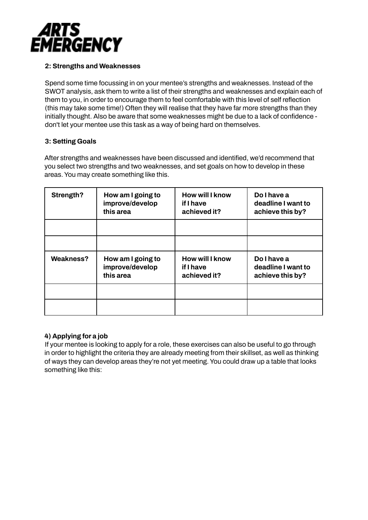

#### **2: Strengths and Weaknesses**

Spend some time focussing in on your mentee's strengths and weaknesses. Instead of the SWOT analysis, ask them to write a list of their strengths and weaknesses and explain each of them to you, in order to encourage them to feel comfortable with this level of self reflection (this may take some time!) Often they will realise that they have far more strengths than they initially thought. Also be aware that some weaknesses might be due to a lack of confidence don't let your mentee use this task as a way of being hard on themselves.

#### **3: Setting Goals**

After strengths and weaknesses have been discussed and identified, we'd recommend that you select two strengths and two weaknesses, and set goals on how to develop in these areas. You may create something like this.

| Strength? | How am I going to<br>improve/develop<br>this area | How will I know<br>if I have<br>achieved it?        | <b>Do I have a</b><br>deadline I want to<br>achieve this by? |
|-----------|---------------------------------------------------|-----------------------------------------------------|--------------------------------------------------------------|
|           |                                                   |                                                     |                                                              |
|           |                                                   |                                                     |                                                              |
| Weakness? | How am I going to<br>improve/develop<br>this area | <b>How will I know</b><br>if I have<br>achieved it? | Do I have a<br>deadline I want to<br>achieve this by?        |
|           |                                                   |                                                     |                                                              |
|           |                                                   |                                                     |                                                              |

#### **4) Applying for a job**

If your mentee is looking to apply for a role, these exercises can also be useful to go through in order to highlight the criteria they are already meeting from their skillset, as well as thinking of ways they can develop areas they're not yet meeting. You could draw up a table that looks something like this: